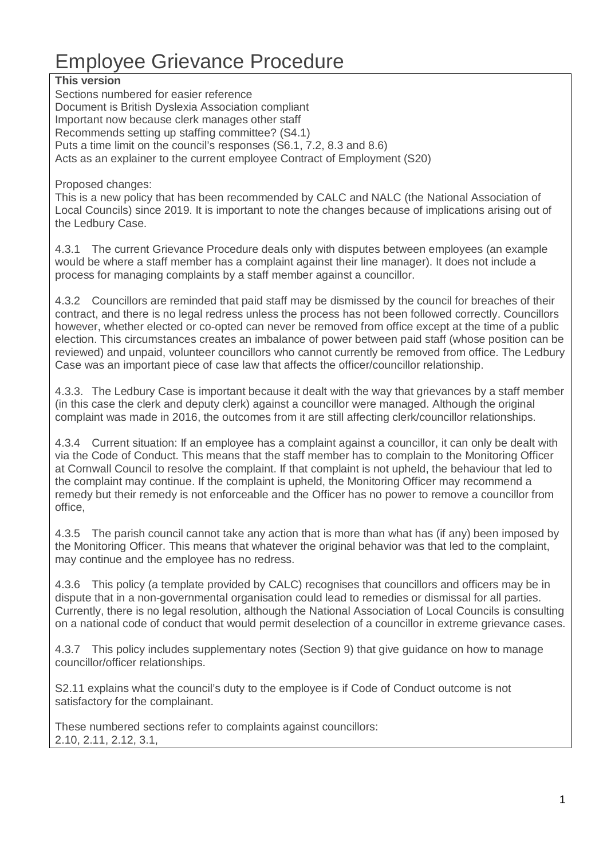# Employee Grievance Procedure

#### **This version**

Sections numbered for easier reference Document is British Dyslexia Association compliant Important now because clerk manages other staff Recommends setting up staffing committee? (S4.1) Puts a time limit on the council's responses (S6.1, 7.2, 8.3 and 8.6) Acts as an explainer to the current employee Contract of Employment (S20)

Proposed changes:

This is a new policy that has been recommended by CALC and NALC (the National Association of Local Councils) since 2019. It is important to note the changes because of implications arising out of the Ledbury Case.

4.3.1 The current Grievance Procedure deals only with disputes between employees (an example would be where a staff member has a complaint against their line manager). It does not include a process for managing complaints by a staff member against a councillor.

4.3.2 Councillors are reminded that paid staff may be dismissed by the council for breaches of their contract, and there is no legal redress unless the process has not been followed correctly. Councillors however, whether elected or co-opted can never be removed from office except at the time of a public election. This circumstances creates an imbalance of power between paid staff (whose position can be reviewed) and unpaid, volunteer councillors who cannot currently be removed from office. The Ledbury Case was an important piece of case law that affects the officer/councillor relationship.

4.3.3. The Ledbury Case is important because it dealt with the way that grievances by a staff member (in this case the clerk and deputy clerk) against a councillor were managed. Although the original complaint was made in 2016, the outcomes from it are still affecting clerk/councillor relationships.

4.3.4 Current situation: If an employee has a complaint against a councillor, it can only be dealt with via the Code of Conduct. This means that the staff member has to complain to the Monitoring Officer at Cornwall Council to resolve the complaint. If that complaint is not upheld, the behaviour that led to the complaint may continue. If the complaint is upheld, the Monitoring Officer may recommend a remedy but their remedy is not enforceable and the Officer has no power to remove a councillor from office,

4.3.5 The parish council cannot take any action that is more than what has (if any) been imposed by the Monitoring Officer. This means that whatever the original behavior was that led to the complaint, may continue and the employee has no redress.

4.3.6 This policy (a template provided by CALC) recognises that councillors and officers may be in dispute that in a non-governmental organisation could lead to remedies or dismissal for all parties. Currently, there is no legal resolution, although the National Association of Local Councils is consulting on a national code of conduct that would permit deselection of a councillor in extreme grievance cases.

4.3.7 This policy includes supplementary notes (Section 9) that give guidance on how to manage councillor/officer relationships.

S2.11 explains what the council's duty to the employee is if Code of Conduct outcome is not satisfactory for the complainant.

These numbered sections refer to complaints against councillors: 2.10, 2.11, 2.12, 3.1,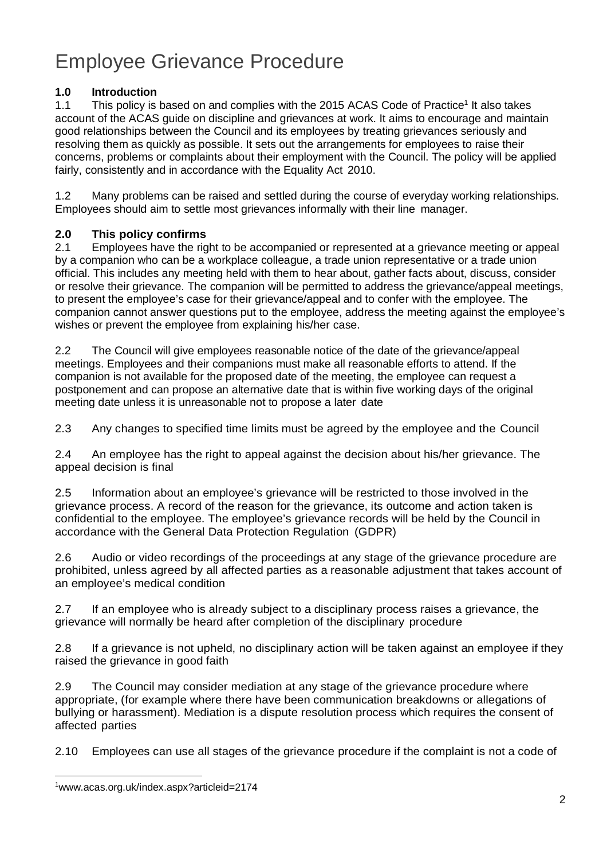# Employee Grievance Procedure

### **1.0 Introduction**

1.1 This policy is based on and complies with the 2015 ACAS Code of Practice<sup>1</sup> It also takes account of the ACAS guide on discipline and grievances at work. It aims to encourage and maintain good relationships between the Council and its employees by treating grievances seriously and resolving them as quickly as possible. It sets out the arrangements for employees to raise their concerns, problems or complaints about their employment with the Council. The policy will be applied fairly, consistently and in accordance with the Equality Act 2010.

1.2 Many problems can be raised and settled during the course of everyday working relationships. Employees should aim to settle most grievances informally with their line manager.

#### **2.0 This policy confirms**

2.1 Employees have the right to be accompanied or represented at a grievance meeting or appeal by a companion who can be a workplace colleague, a trade union representative or a trade union official. This includes any meeting held with them to hear about, gather facts about, discuss, consider or resolve their grievance. The companion will be permitted to address the grievance/appeal meetings, to present the employee's case for their grievance/appeal and to confer with the employee. The companion cannot answer questions put to the employee, address the meeting against the employee's wishes or prevent the employee from explaining his/her case.

2.2 The Council will give employees reasonable notice of the date of the grievance/appeal meetings. Employees and their companions must make all reasonable efforts to attend. If the companion is not available for the proposed date of the meeting, the employee can request a postponement and can propose an alternative date that is within five working days of the original meeting date unless it is unreasonable not to propose a later date

2.3 Any changes to specified time limits must be agreed by the employee and the Council

2.4 An employee has the right to appeal against the decision about his/her grievance. The appeal decision is final

2.5 Information about an employee's grievance will be restricted to those involved in the grievance process. A record of the reason for the grievance, its outcome and action taken is confidential to the employee. The employee's grievance records will be held by the Council in accordance with the General Data Protection Regulation (GDPR)

2.6 Audio or video recordings of the proceedings at any stage of the grievance procedure are prohibited, unless agreed by all affected parties as a reasonable adjustment that takes account of an employee's medical condition

2.7 If an employee who is already subject to a disciplinary process raises a grievance, the grievance will normally be heard after completion of the disciplinary procedure

2.8 If a grievance is not upheld, no disciplinary action will be taken against an employee if they raised the grievance in good faith

2.9 The Council may consider mediation at any stage of the grievance procedure where appropriate, (for example where there have been communication breakdowns or allegations of bullying or harassment). Mediation is a dispute resolution process which requires the consent of affected parties

2.10 Employees can use all stages of the grievance procedure if the complaint is not a code of

<sup>1</sup>www.acas.org.uk/index.aspx?articleid=2174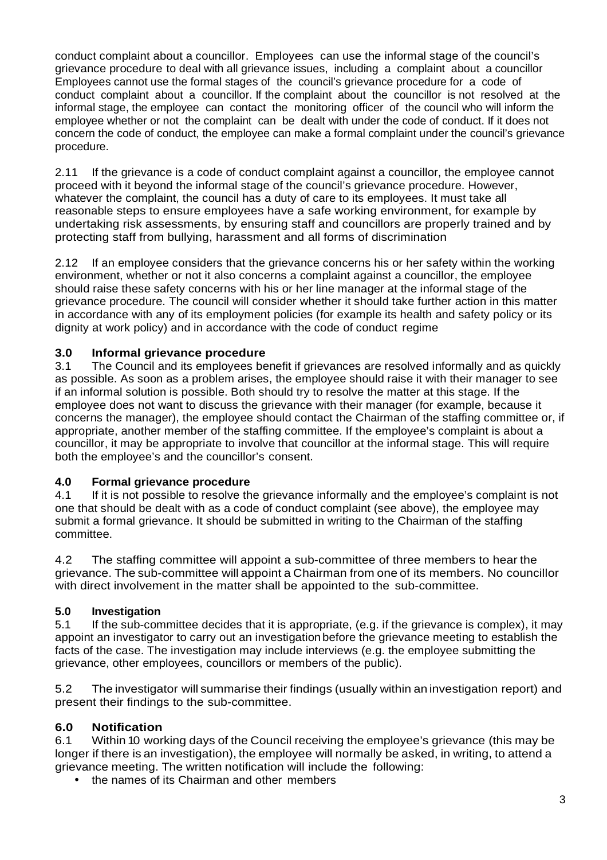conduct complaint about a councillor. Employees can use the informal stage of the council's grievance procedure to deal with all grievance issues, including a complaint about a councillor Employees cannot use the formal stages of the council's grievance procedure for a code of conduct complaint about a councillor. If the complaint about the councillor is not resolved at the informal stage, the employee can contact the monitoring officer of the council who will inform the employee whether or not the complaint can be dealt with under the code of conduct. If it does not concern the code of conduct, the employee can make a formal complaint under the council's grievance procedure.

2.11 If the grievance is a code of conduct complaint against a councillor, the employee cannot proceed with it beyond the informal stage of the council's grievance procedure. However, whatever the complaint, the council has a duty of care to its employees. It must take all reasonable steps to ensure employees have a safe working environment, for example by undertaking risk assessments, by ensuring staff and councillors are properly trained and by protecting staff from bullying, harassment and all forms of discrimination

2.12 If an employee considers that the grievance concerns his or her safety within the working environment, whether or not it also concerns a complaint against a councillor, the employee should raise these safety concerns with his or her line manager at the informal stage of the grievance procedure. The council will consider whether it should take further action in this matter in accordance with any of its employment policies (for example its health and safety policy or its dignity at work policy) and in accordance with the code of conduct regime

## **3.0 Informal grievance procedure**

3.1 The Council and its employees benefit if grievances are resolved informally and as quickly as possible. As soon as a problem arises, the employee should raise it with their manager to see if an informal solution is possible. Both should try to resolve the matter at this stage. If the employee does not want to discuss the grievance with their manager (for example, because it concerns the manager), the employee should contact the Chairman of the staffing committee or, if appropriate, another member of the staffing committee. If the employee's complaint is about a councillor, it may be appropriate to involve that councillor at the informal stage. This will require both the employee's and the councillor's consent.

## **4.0 Formal grievance procedure**

4.1 If it is not possible to resolve the grievance informally and the employee's complaint is not one that should be dealt with as a code of conduct complaint (see above), the employee may submit a formal grievance. It should be submitted in writing to the Chairman of the staffing committee.

4.2 The staffing committee will appoint a sub-committee of three members to hear the grievance. The sub-committee will appoint a Chairman from one of its members. No councillor with direct involvement in the matter shall be appointed to the sub-committee.

## **5.0 Investigation**

5.1 If the sub-committee decides that it is appropriate, (e.g. if the grievance is complex), it may appoint an investigator to carry out an investigation before the grievance meeting to establish the facts of the case. The investigation may include interviews (e.g. the employee submitting the grievance, other employees, councillors or members of the public).

5.2 The investigator will summarise their findings (usually within an investigation report) and present their findings to the sub-committee.

## **6.0 Notification**

6.1 Within 10 working days of the Council receiving the employee's grievance (this may be longer if there is an investigation), the employee will normally be asked, in writing, to attend a grievance meeting. The written notification will include the following:

• the names of its Chairman and other members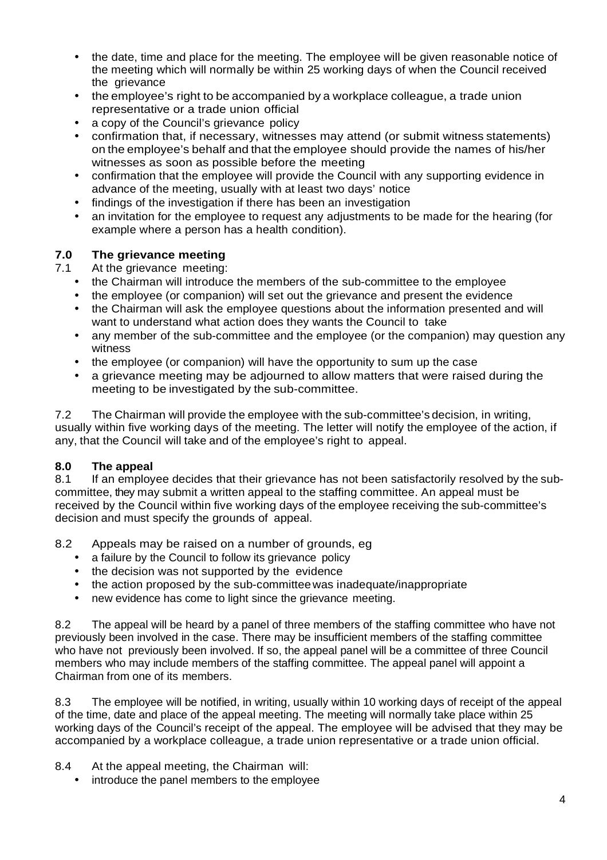- the date, time and place for the meeting. The employee will be given reasonable notice of the meeting which will normally be within 25 working days of when the Council received the grievance
- the employee's right to be accompanied by a workplace colleague, a trade union representative or a trade union official
- a copy of the Council's grievance policy
- confirmation that, if necessary, witnesses may attend (or submit witness statements) on the employee's behalf and that the employee should provide the names of his/her witnesses as soon as possible before the meeting
- confirmation that the employee will provide the Council with any supporting evidence in advance of the meeting, usually with at least two days' notice
- findings of the investigation if there has been an investigation
- an invitation for the employee to request any adjustments to be made for the hearing (for example where a person has a health condition).

#### **7.0 The grievance meeting**

7.1 At the grievance meeting:

- the Chairman will introduce the members of the sub-committee to the employee
- the employee (or companion) will set out the grievance and present the evidence
- the Chairman will ask the employee questions about the information presented and will want to understand what action does they wants the Council to take
- any member of the sub-committee and the employee (or the companion) may question any witness
- the employee (or companion) will have the opportunity to sum up the case
- a grievance meeting may be adjourned to allow matters that were raised during the meeting to be investigated by the sub-committee.

7.2 The Chairman will provide the employee with the sub-committee's decision, in writing, usually within five working days of the meeting. The letter will notify the employee of the action, if any, that the Council will take and of the employee's right to appeal.

#### **8.0 The appeal**

8.1 If an employee decides that their grievance has not been satisfactorily resolved by the subcommittee, they may submit a written appeal to the staffing committee. An appeal must be received by the Council within five working days of the employee receiving the sub-committee's decision and must specify the grounds of appeal.

8.2 Appeals may be raised on a number of grounds, eg

- a failure by the Council to follow its grievance policy
- the decision was not supported by the evidence
- the action proposed by the sub-committee was inadequate/inappropriate
- new evidence has come to light since the grievance meeting.

8.2 The appeal will be heard by a panel of three members of the staffing committee who have not previously been involved in the case. There may be insufficient members of the staffing committee who have not previously been involved. If so, the appeal panel will be a committee of three Council members who may include members of the staffing committee. The appeal panel will appoint a Chairman from one of its members.

8.3 The employee will be notified, in writing, usually within 10 working days of receipt of the appeal of the time, date and place of the appeal meeting. The meeting will normally take place within 25 working days of the Council's receipt of the appeal. The employee will be advised that they may be accompanied by a workplace colleague, a trade union representative or a trade union official.

- 8.4 At the appeal meeting, the Chairman will:
	- introduce the panel members to the employee